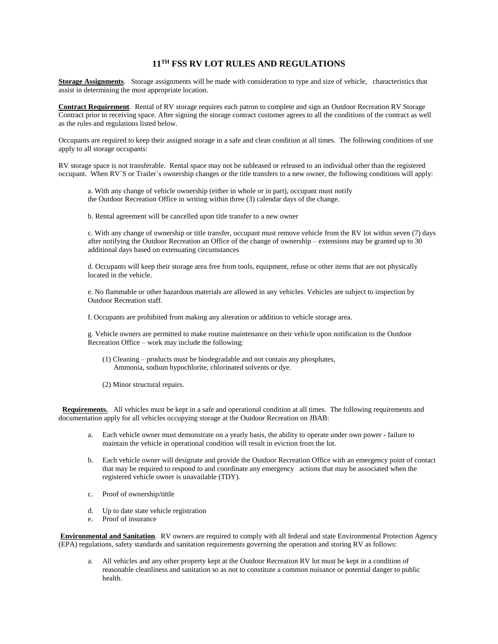## **11TH FSS RV LOT RULES AND REGULATIONS**

**Storage Assignments**. Storage assignments will be made with consideration to type and size of vehicle, characteristics that assist in determining the most appropriate location.

**Contract Requirement**. Rental of RV storage requires each patron to complete and sign an Outdoor Recreation RV Storage Contract prior to receiving space. After signing the storage contract customer agrees to all the conditions of the contract as well as the rules and regulations listed below.

Occupants are required to keep their assigned storage in a safe and clean condition at all times. The following conditions of use apply to all storage occupants:

RV storage space is not transferable. Rental space may not be subleased or released to an individual other than the registered occupant. When RV`S or Trailer`s ownership changes or the title transfers to a new owner, the following conditions will apply:

a. With any change of vehicle ownership (either in whole or in part), occupant must notify the Outdoor Recreation Office in writing within three (3) calendar days of the change.

b. Rental agreement will be cancelled upon title transfer to a new owner

c. With any change of ownership or title transfer, occupant must remove vehicle from the RV lot within seven (7) days after notifying the Outdoor Recreation an Office of the change of ownership – extensions may be granted up to 30 additional days based on extenuating circumstances

d. Occupants will keep their storage area free from tools, equipment, refuse or other items that are not physically located in the vehicle.

e. No flammable or other hazardous materials are allowed in any vehicles. Vehicles are subject to inspection by Outdoor Recreation staff.

f. Occupants are prohibited from making any alteration or addition to vehicle storage area.

g. Vehicle owners are permitted to make routine maintenance on their vehicle upon notification to the Outdoor Recreation Office – work may include the following:

- (1) Cleaning products must be biodegradable and not contain any phosphates, Ammonia, sodium hypochlorite, chlorinated solvents or dye.
- (2) Minor structural repairs.

 **Requirements.** All vehicles must be kept in a safe and operational condition at all times. The following requirements and documentation apply for all vehicles occupying storage at the Outdoor Recreation on JBAB:

- a. Each vehicle owner must demonstrate on a yearly basis, the ability to operate under own power failure to maintain the vehicle in operational condition will result in eviction from the lot.
- b. Each vehicle owner will designate and provide the Outdoor Recreation Office with an emergency point of contact that may be required to respond to and coordinate any emergency actions that may be associated when the registered vehicle owner is unavailable (TDY).
- c. Proof of ownership/tittle
- d. Up to date state vehicle registration
- e. Proof of insurance

**Environmental and Sanitation**. RV owners are required to comply with all federal and state Environmental Protection Agency (EPA) regulations, safety standards and sanitation requirements governing the operation and storing RV as follows:

a. All vehicles and any other property kept at the Outdoor Recreation RV lot must be kept in a condition of reasonable cleanliness and sanitation so as not to constitute a common nuisance or potential danger to public health.